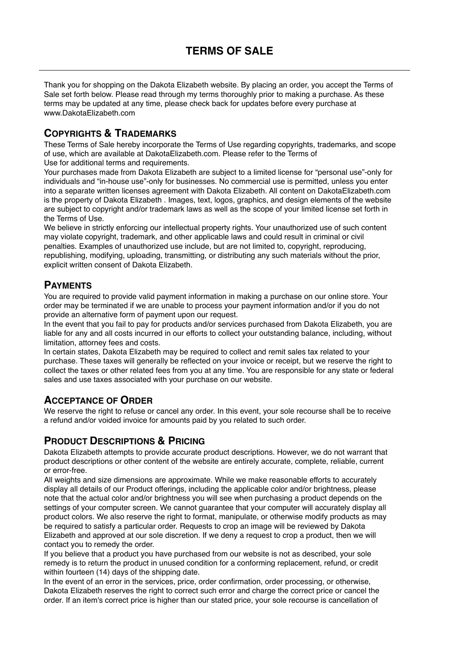Thank you for shopping on the Dakota Elizabeth website. By placing an order, you accept the Terms of Sale set forth below. Please read through my terms thoroughly prior to making a purchase. As these terms may be updated at any time, please check back for updates before every purchase at www.[DakotaElizabeth.com](http://DakotaElizabeth.com)

## **COPYRIGHTS & TRADEMARKS**

These Terms of Sale hereby incorporate the Terms of Use regarding copyrights, trademarks, and scope of use, which are available at DakotaElizabeth.com. Please refer to the Terms of Use for additional terms and requirements.

Your purchases made from Dakota Elizabeth are subject to a limited license for "personal use"-only for individuals and "in-house use"-only for businesses. No commercial use is permitted, unless you enter into a separate written licenses agreement with Dakota Elizabeth. All content on DakotaElizabeth.com is the property of Dakota Elizabeth . Images, text, logos, graphics, and design elements of the website are subject to copyright and/or trademark laws as well as the scope of your limited license set forth in the Terms of Use.

We believe in strictly enforcing our intellectual property rights. Your unauthorized use of such content may violate copyright, trademark, and other applicable laws and could result in criminal or civil penalties. Examples of unauthorized use include, but are not limited to, copyright, reproducing, republishing, modifying, uploading, transmitting, or distributing any such materials without the prior, explicit written consent of Dakota Elizabeth.

## **PAYMENTS**

You are required to provide valid payment information in making a purchase on our online store. Your order may be terminated if we are unable to process your payment information and/or if you do not provide an alternative form of payment upon our request.

In the event that you fail to pay for products and/or services purchased from Dakota Elizabeth, you are liable for any and all costs incurred in our efforts to collect your outstanding balance, including, without limitation, attorney fees and costs.

In certain states, Dakota Elizabeth may be required to collect and remit sales tax related to your purchase. These taxes will generally be reflected on your invoice or receipt, but we reserve the right to collect the taxes or other related fees from you at any time. You are responsible for any state or federal sales and use taxes associated with your purchase on our website.

# **ACCEPTANCE OF ORDER**

We reserve the right to refuse or cancel any order. In this event, your sole recourse shall be to receive a refund and/or voided invoice for amounts paid by you related to such order.

# **PRODUCT DESCRIPTIONS & PRICING**

Dakota Elizabeth attempts to provide accurate product descriptions. However, we do not warrant that product descriptions or other content of the website are entirely accurate, complete, reliable, current or error-free.

All weights and size dimensions are approximate. While we make reasonable efforts to accurately display all details of our Product offerings, including the applicable color and/or brightness, please note that the actual color and/or brightness you will see when purchasing a product depends on the settings of your computer screen. We cannot guarantee that your computer will accurately display all product colors. We also reserve the right to format, manipulate, or otherwise modify products as may be required to satisfy a particular order. Requests to crop an image will be reviewed by Dakota Elizabeth and approved at our sole discretion. If we deny a request to crop a product, then we will contact you to remedy the order.

If you believe that a product you have purchased from our website is not as described, your sole remedy is to return the product in unused condition for a conforming replacement, refund, or credit within fourteen (14) days of the shipping date.

In the event of an error in the services, price, order confirmation, order processing, or otherwise, Dakota Elizabeth reserves the right to correct such error and charge the correct price or cancel the order. If an item's correct price is higher than our stated price, your sole recourse is cancellation of